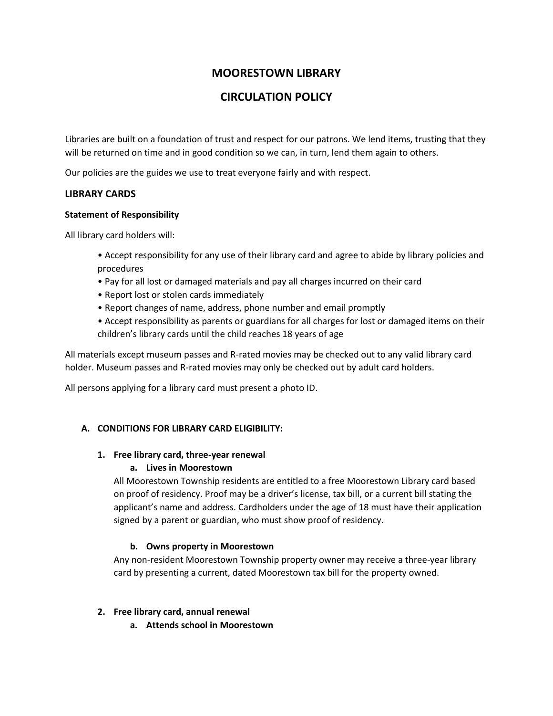# **MOORESTOWN LIBRARY**

# **CIRCULATION POLICY**

Libraries are built on a foundation of trust and respect for our patrons. We lend items, trusting that they will be returned on time and in good condition so we can, in turn, lend them again to others.

Our policies are the guides we use to treat everyone fairly and with respect.

### **LIBRARY CARDS**

### **Statement of Responsibility**

All library card holders will:

- Accept responsibility for any use of their library card and agree to abide by library policies and procedures
- Pay for all lost or damaged materials and pay all charges incurred on their card
- Report lost or stolen cards immediately
- Report changes of name, address, phone number and email promptly
- Accept responsibility as parents or guardians for all charges for lost or damaged items on their children's library cards until the child reaches 18 years of age

All materials except museum passes and R-rated movies may be checked out to any valid library card holder. Museum passes and R-rated movies may only be checked out by adult card holders.

All persons applying for a library card must present a photo ID.

## **A. CONDITIONS FOR LIBRARY CARD ELIGIBILITY:**

## **1. Free library card, three-year renewal**

## **a. Lives in Moorestown**

All Moorestown Township residents are entitled to a free Moorestown Library card based on proof of residency. Proof may be a driver's license, tax bill, or a current bill stating the applicant's name and address. Cardholders under the age of 18 must have their application signed by a parent or guardian, who must show proof of residency.

## **b. Owns property in Moorestown**

Any non-resident Moorestown Township property owner may receive a three-year library card by presenting a current, dated Moorestown tax bill for the property owned.

## **2. Free library card, annual renewal**

**a. Attends school in Moorestown**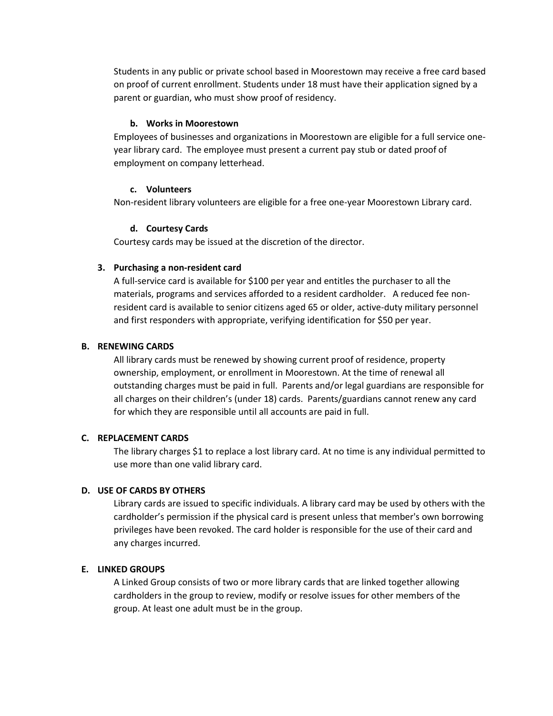Students in any public or private school based in Moorestown may receive a free card based on proof of current enrollment. Students under 18 must have their application signed by a parent or guardian, who must show proof of residency.

#### **b. Works in Moorestown**

Employees of businesses and organizations in Moorestown are eligible for a full service oneyear library card. The employee must present a current pay stub or dated proof of employment on company letterhead.

#### **c. Volunteers**

Non-resident library volunteers are eligible for a free one-year Moorestown Library card.

#### **d. Courtesy Cards**

Courtesy cards may be issued at the discretion of the director.

### **3. Purchasing a non-resident card**

A full-service card is available for \$100 per year and entitles the purchaser to all the materials, programs and services afforded to a resident cardholder. A reduced fee nonresident card is available to senior citizens aged 65 or older, active-duty military personnel and first responders with appropriate, verifying identification for \$50 per year.

#### **B. RENEWING CARDS**

All library cards must be renewed by showing current proof of residence, property ownership, employment, or enrollment in Moorestown. At the time of renewal all outstanding charges must be paid in full. Parents and/or legal guardians are responsible for all charges on their children's (under 18) cards. Parents/guardians cannot renew any card for which they are responsible until all accounts are paid in full.

#### **C. REPLACEMENT CARDS**

The library charges \$1 to replace a lost library card. At no time is any individual permitted to use more than one valid library card.

### **D. USE OF CARDS BY OTHERS**

Library cards are issued to specific individuals. A library card may be used by others with the cardholder's permission if the physical card is present unless that member's own borrowing privileges have been revoked. The card holder is responsible for the use of their card and any charges incurred.

### **E. LINKED GROUPS**

A Linked Group consists of two or more library cards that are linked together allowing cardholders in the group to review, modify or resolve issues for other members of the group. At least one adult must be in the group.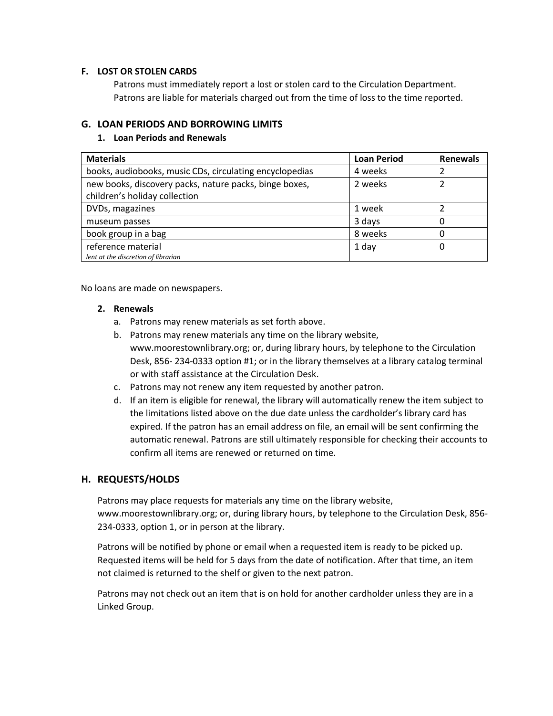### **F. LOST OR STOLEN CARDS**

Patrons must immediately report a lost or stolen card to the Circulation Department. Patrons are liable for materials charged out from the time of loss to the time reported.

### **G. LOAN PERIODS AND BORROWING LIMITS**

### **1. Loan Periods and Renewals**

| <b>Materials</b>                                        | <b>Loan Period</b> | <b>Renewals</b> |
|---------------------------------------------------------|--------------------|-----------------|
| books, audiobooks, music CDs, circulating encyclopedias | 4 weeks            |                 |
| new books, discovery packs, nature packs, binge boxes,  | 2 weeks            |                 |
| children's holiday collection                           |                    |                 |
| DVDs, magazines                                         | 1 week             |                 |
| museum passes                                           | 3 days             |                 |
| book group in a bag                                     | 8 weeks            | 0               |
| reference material                                      | 1 day              | 0               |
| lent at the discretion of librarian                     |                    |                 |

No loans are made on newspapers.

#### **2. Renewals**

- a. Patrons may renew materials as set forth above.
- b. Patrons may renew materials any time on the library website, www.moorestownlibrary.org; or, during library hours, by telephone to the Circulation Desk, 856- 234-0333 option #1; or in the library themselves at a library catalog terminal or with staff assistance at the Circulation Desk.
- c. Patrons may not renew any item requested by another patron.
- d. If an item is eligible for renewal, the library will automatically renew the item subject to the limitations listed above on the due date unless the cardholder's library card has expired. If the patron has an email address on file, an email will be sent confirming the automatic renewal. Patrons are still ultimately responsible for checking their accounts to confirm all items are renewed or returned on time.

## **H. REQUESTS/HOLDS**

Patrons may place requests for materials any time on the library website, www.moorestownlibrary.org; or, during library hours, by telephone to the Circulation Desk, 856- 234-0333, option 1, or in person at the library.

Patrons will be notified by phone or email when a requested item is ready to be picked up. Requested items will be held for 5 days from the date of notification. After that time, an item not claimed is returned to the shelf or given to the next patron.

Patrons may not check out an item that is on hold for another cardholder unless they are in a Linked Group.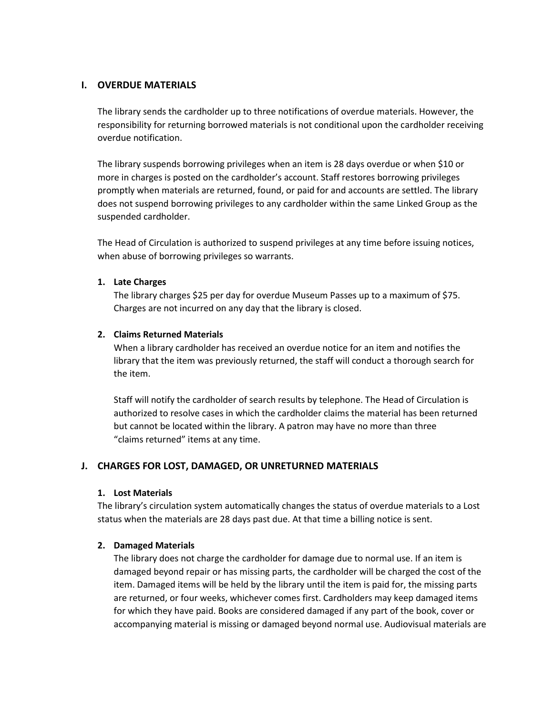### **I. OVERDUE MATERIALS**

The library sends the cardholder up to three notifications of overdue materials. However, the responsibility for returning borrowed materials is not conditional upon the cardholder receiving overdue notification.

The library suspends borrowing privileges when an item is 28 days overdue or when \$10 or more in charges is posted on the cardholder's account. Staff restores borrowing privileges promptly when materials are returned, found, or paid for and accounts are settled. The library does not suspend borrowing privileges to any cardholder within the same Linked Group as the suspended cardholder.

The Head of Circulation is authorized to suspend privileges at any time before issuing notices, when abuse of borrowing privileges so warrants.

### **1. Late Charges**

The library charges \$25 per day for overdue Museum Passes up to a maximum of \$75. Charges are not incurred on any day that the library is closed.

### **2. Claims Returned Materials**

When a library cardholder has received an overdue notice for an item and notifies the library that the item was previously returned, the staff will conduct a thorough search for the item.

Staff will notify the cardholder of search results by telephone. The Head of Circulation is authorized to resolve cases in which the cardholder claims the material has been returned but cannot be located within the library. A patron may have no more than three "claims returned" items at any time.

## **J. CHARGES FOR LOST, DAMAGED, OR UNRETURNED MATERIALS**

### **1. Lost Materials**

The library's circulation system automatically changes the status of overdue materials to a Lost status when the materials are 28 days past due. At that time a billing notice is sent.

### **2. Damaged Materials**

The library does not charge the cardholder for damage due to normal use. If an item is damaged beyond repair or has missing parts, the cardholder will be charged the cost of the item. Damaged items will be held by the library until the item is paid for, the missing parts are returned, or four weeks, whichever comes first. Cardholders may keep damaged items for which they have paid. Books are considered damaged if any part of the book, cover or accompanying material is missing or damaged beyond normal use. Audiovisual materials are